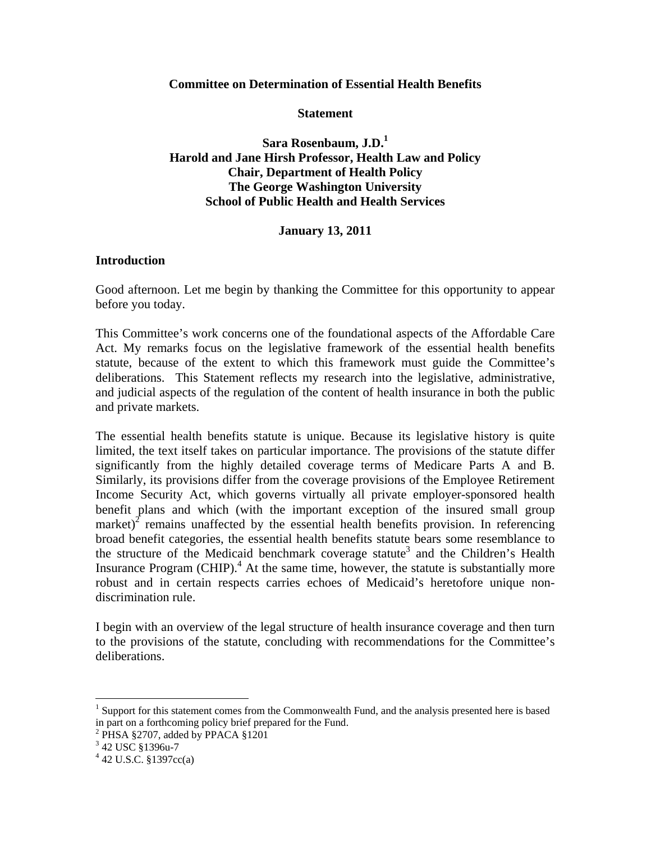### **Committee on Determination of Essential Health Benefits**

**Statement** 

**Sara Rosenbaum, J.D.<sup>1</sup> Harold and Jane Hirsh Professor, Health Law and Policy Chair, Department of Health Policy The George Washington University School of Public Health and Health Services** 

# **January 13, 2011**

## **Introduction**

Good afternoon. Let me begin by thanking the Committee for this opportunity to appear before you today.

This Committee's work concerns one of the foundational aspects of the Affordable Care Act. My remarks focus on the legislative framework of the essential health benefits statute, because of the extent to which this framework must guide the Committee's deliberations. This Statement reflects my research into the legislative, administrative, and judicial aspects of the regulation of the content of health insurance in both the public and private markets.

The essential health benefits statute is unique. Because its legislative history is quite limited, the text itself takes on particular importance. The provisions of the statute differ significantly from the highly detailed coverage terms of Medicare Parts A and B. Similarly, its provisions differ from the coverage provisions of the Employee Retirement Income Security Act, which governs virtually all private employer-sponsored health benefit plans and which (with the important exception of the insured small group market)<sup>2</sup> remains unaffected by the essential health benefits provision. In referencing broad benefit categories, the essential health benefits statute bears some resemblance to the structure of the Medicaid benchmark coverage statute<sup>3</sup> and the Children's Health Insurance Program (CHIP). $^{4}$  At the same time, however, the statute is substantially more robust and in certain respects carries echoes of Medicaid's heretofore unique nondiscrimination rule.

I begin with an overview of the legal structure of health insurance coverage and then turn to the provisions of the statute, concluding with recommendations for the Committee's deliberations.

 $\overline{a}$ 

<sup>&</sup>lt;sup>1</sup> Support for this statement comes from the Commonwealth Fund, and the analysis presented here is based in part on a forthcoming policy brief prepared for the Fund.

 $2$  PHSA §2707, added by PPACA §1201

<sup>&</sup>lt;sup>3</sup> 42 USC §1396u-7

 $4$  42 U.S.C. §1397cc(a)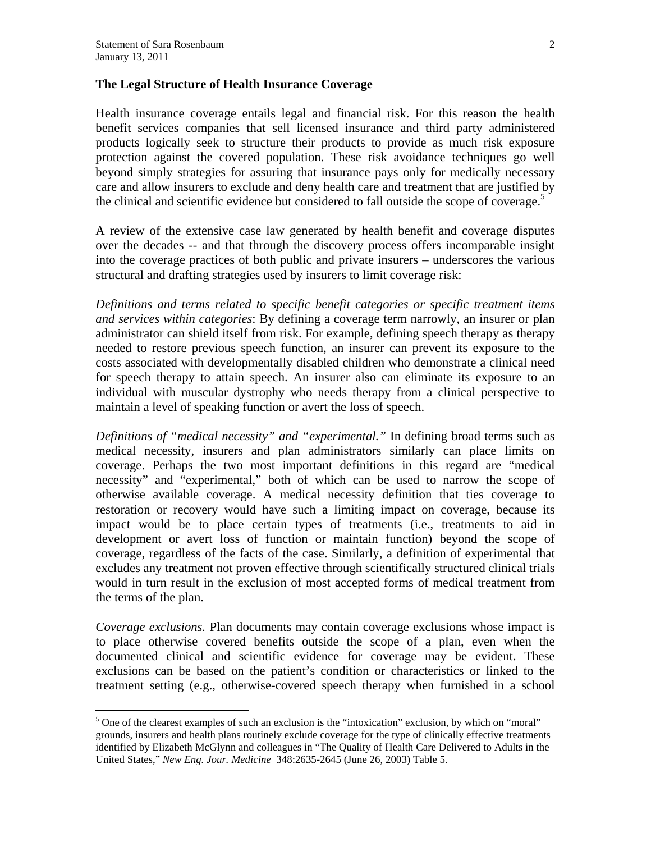$\overline{a}$ 

#### **The Legal Structure of Health Insurance Coverage**

Health insurance coverage entails legal and financial risk. For this reason the health benefit services companies that sell licensed insurance and third party administered products logically seek to structure their products to provide as much risk exposure protection against the covered population. These risk avoidance techniques go well beyond simply strategies for assuring that insurance pays only for medically necessary care and allow insurers to exclude and deny health care and treatment that are justified by the clinical and scientific evidence but considered to fall outside the scope of coverage.<sup>5</sup>

A review of the extensive case law generated by health benefit and coverage disputes over the decades -- and that through the discovery process offers incomparable insight into the coverage practices of both public and private insurers – underscores the various structural and drafting strategies used by insurers to limit coverage risk:

*Definitions and terms related to specific benefit categories or specific treatment items and services within categories*: By defining a coverage term narrowly, an insurer or plan administrator can shield itself from risk. For example, defining speech therapy as therapy needed to restore previous speech function, an insurer can prevent its exposure to the costs associated with developmentally disabled children who demonstrate a clinical need for speech therapy to attain speech. An insurer also can eliminate its exposure to an individual with muscular dystrophy who needs therapy from a clinical perspective to maintain a level of speaking function or avert the loss of speech.

*Definitions of "medical necessity" and "experimental."* In defining broad terms such as medical necessity, insurers and plan administrators similarly can place limits on coverage. Perhaps the two most important definitions in this regard are "medical necessity" and "experimental," both of which can be used to narrow the scope of otherwise available coverage. A medical necessity definition that ties coverage to restoration or recovery would have such a limiting impact on coverage, because its impact would be to place certain types of treatments (i.e., treatments to aid in development or avert loss of function or maintain function) beyond the scope of coverage, regardless of the facts of the case. Similarly, a definition of experimental that excludes any treatment not proven effective through scientifically structured clinical trials would in turn result in the exclusion of most accepted forms of medical treatment from the terms of the plan.

*Coverage exclusions.* Plan documents may contain coverage exclusions whose impact is to place otherwise covered benefits outside the scope of a plan, even when the documented clinical and scientific evidence for coverage may be evident. These exclusions can be based on the patient's condition or characteristics or linked to the treatment setting (e.g., otherwise-covered speech therapy when furnished in a school

 $<sup>5</sup>$  One of the clearest examples of such an exclusion is the "intoxication" exclusion, by which on "moral"</sup> grounds, insurers and health plans routinely exclude coverage for the type of clinically effective treatments identified by Elizabeth McGlynn and colleagues in "The Quality of Health Care Delivered to Adults in the United States," *New Eng. Jour. Medicine* 348:2635-2645 (June 26, 2003) Table 5.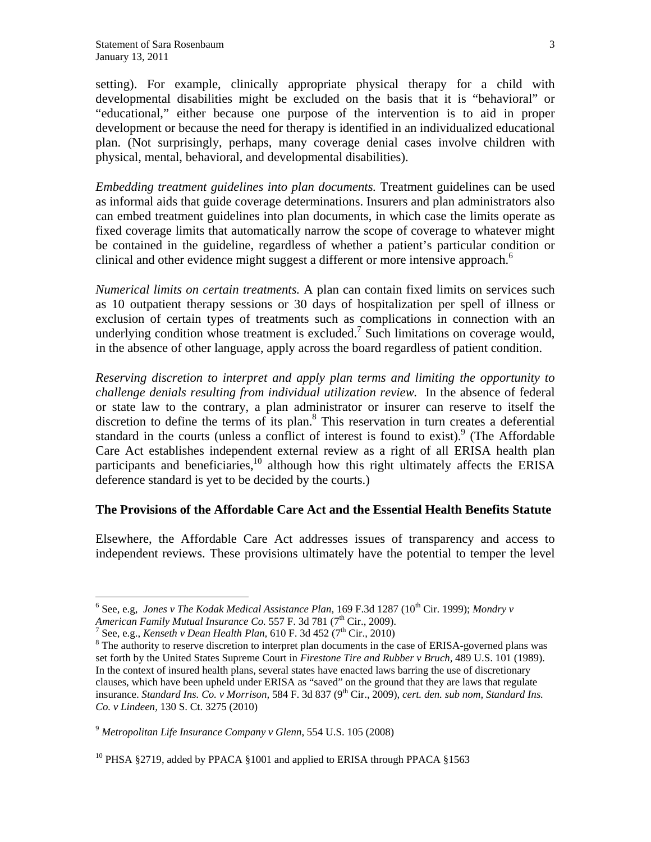setting). For example, clinically appropriate physical therapy for a child with developmental disabilities might be excluded on the basis that it is "behavioral" or "educational," either because one purpose of the intervention is to aid in proper development or because the need for therapy is identified in an individualized educational plan. (Not surprisingly, perhaps, many coverage denial cases involve children with physical, mental, behavioral, and developmental disabilities).

*Embedding treatment guidelines into plan documents.* Treatment guidelines can be used as informal aids that guide coverage determinations. Insurers and plan administrators also can embed treatment guidelines into plan documents, in which case the limits operate as fixed coverage limits that automatically narrow the scope of coverage to whatever might be contained in the guideline, regardless of whether a patient's particular condition or clinical and other evidence might suggest a different or more intensive approach.<sup>6</sup>

*Numerical limits on certain treatments.* A plan can contain fixed limits on services such as 10 outpatient therapy sessions or 30 days of hospitalization per spell of illness or exclusion of certain types of treatments such as complications in connection with an underlying condition whose treatment is excluded.<sup>7</sup> Such limitations on coverage would, in the absence of other language, apply across the board regardless of patient condition.

*Reserving discretion to interpret and apply plan terms and limiting the opportunity to challenge denials resulting from individual utilization review.* In the absence of federal or state law to the contrary, a plan administrator or insurer can reserve to itself the discretion to define the terms of its plan.<sup>8</sup> This reservation in turn creates a deferential standard in the courts (unless a conflict of interest is found to exist). <sup>9</sup> (The Affordable Care Act establishes independent external review as a right of all ERISA health plan participants and beneficiaries, $^{10}$  although how this right ultimately affects the ERISA deference standard is yet to be decided by the courts.)

### **The Provisions of the Affordable Care Act and the Essential Health Benefits Statute**

Elsewhere, the Affordable Care Act addresses issues of transparency and access to independent reviews. These provisions ultimately have the potential to temper the level

1

<sup>&</sup>lt;sup>6</sup> See, e.g, *Jones v The Kodak Medical Assistance Plan*, 169 F.3d 1287 (10<sup>th</sup> Cir. 1999); *Mondry v American Family Mutual Insurance Co.* 557 F. 3d 781 (7<sup>th</sup> Cir., 2009).

<sup>&</sup>lt;sup>7</sup> See, e.g., *Kenseth v Dean Health Plan,* 610 F. 3d 452 ( $7<sup>th</sup>$  Cir., 2010)

<sup>&</sup>lt;sup>8</sup> The authority to reserve discretion to interpret plan documents in the case of ERISA-governed plans was set forth by the United States Supreme Court in *Firestone Tire and Rubber v Bruch,* 489 U.S. 101 (1989). In the context of insured health plans, several states have enacted laws barring the use of discretionary clauses, which have been upheld under ERISA as "saved" on the ground that they are laws that regulate insurance. *Standard Ins. Co. v Morrison,* 584 F. 3d 837 (9<sup>th</sup> Cir., 2009), *cert. den. sub nom, Standard Ins. Co. v Lindeen,* 130 S. Ct. 3275 (2010)

<sup>9</sup> *Metropolitan Life Insurance Company v Glenn*, 554 U.S. 105 (2008)

<sup>&</sup>lt;sup>10</sup> PHSA §2719, added by PPACA §1001 and applied to ERISA through PPACA §1563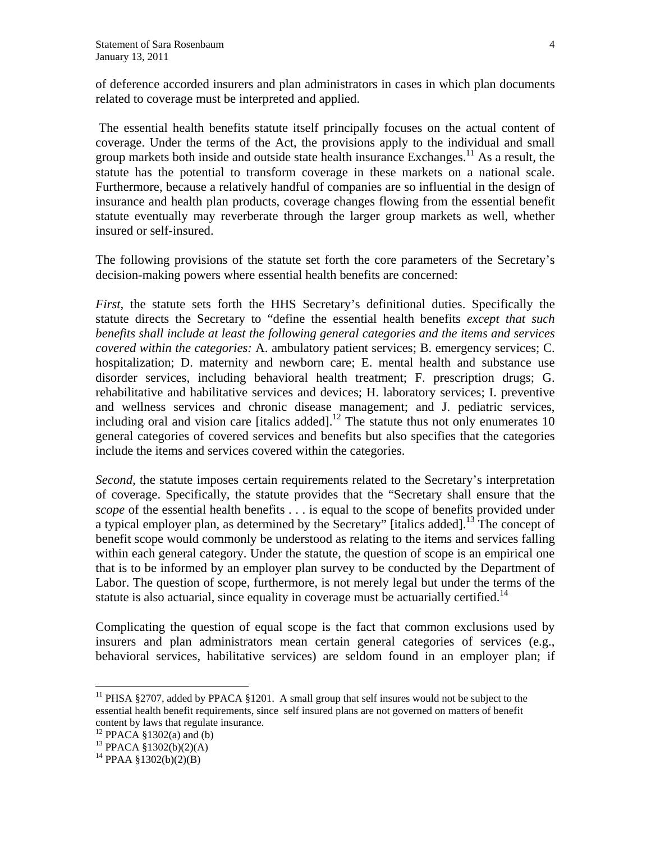of deference accorded insurers and plan administrators in cases in which plan documents related to coverage must be interpreted and applied.

 The essential health benefits statute itself principally focuses on the actual content of coverage. Under the terms of the Act, the provisions apply to the individual and small group markets both inside and outside state health insurance Exchanges.<sup>11</sup> As a result, the statute has the potential to transform coverage in these markets on a national scale. Furthermore, because a relatively handful of companies are so influential in the design of insurance and health plan products, coverage changes flowing from the essential benefit statute eventually may reverberate through the larger group markets as well, whether insured or self-insured.

The following provisions of the statute set forth the core parameters of the Secretary's decision-making powers where essential health benefits are concerned:

*First,* the statute sets forth the HHS Secretary's definitional duties. Specifically the statute directs the Secretary to "define the essential health benefits *except that such benefits shall include at least the following general categories and the items and services covered within the categories:* A. ambulatory patient services; B. emergency services; C. hospitalization; D. maternity and newborn care; E. mental health and substance use disorder services, including behavioral health treatment; F. prescription drugs; G. rehabilitative and habilitative services and devices; H. laboratory services; I. preventive and wellness services and chronic disease management; and J. pediatric services, including oral and vision care [italics added].<sup>12</sup> The statute thus not only enumerates 10 general categories of covered services and benefits but also specifies that the categories include the items and services covered within the categories.

*Second,* the statute imposes certain requirements related to the Secretary's interpretation of coverage. Specifically, the statute provides that the "Secretary shall ensure that the *scope* of the essential health benefits . . . is equal to the scope of benefits provided under a typical employer plan, as determined by the Secretary" [italics added].13 The concept of benefit scope would commonly be understood as relating to the items and services falling within each general category. Under the statute, the question of scope is an empirical one that is to be informed by an employer plan survey to be conducted by the Department of Labor. The question of scope, furthermore, is not merely legal but under the terms of the statute is also actuarial, since equality in coverage must be actuarially certified.<sup>14</sup>

Complicating the question of equal scope is the fact that common exclusions used by insurers and plan administrators mean certain general categories of services (e.g., behavioral services, habilitative services) are seldom found in an employer plan; if

 $\overline{a}$ 

<sup>&</sup>lt;sup>11</sup> PHSA §2707, added by PPACA §1201. A small group that self insures would not be subject to the essential health benefit requirements, since self insured plans are not governed on matters of benefit content by laws that regulate insurance.

 $12$  PPACA §1302(a) and (b)

<sup>13</sup> PPACA §1302(b)(2)(A)

<sup>&</sup>lt;sup>14</sup> PPAA §1302(b)(2)(B)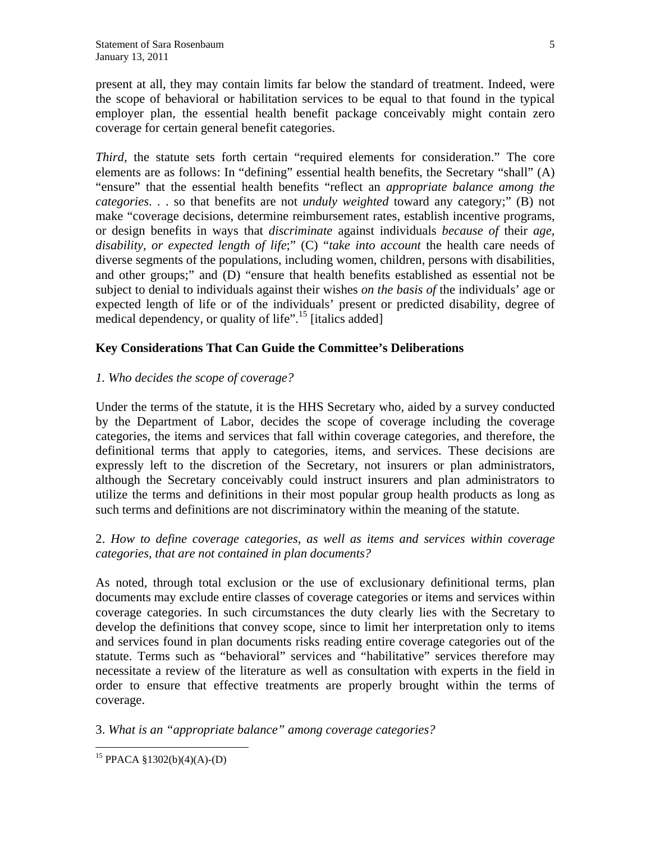present at all, they may contain limits far below the standard of treatment. Indeed, were the scope of behavioral or habilitation services to be equal to that found in the typical employer plan, the essential health benefit package conceivably might contain zero coverage for certain general benefit categories.

*Third,* the statute sets forth certain "required elements for consideration." The core elements are as follows: In "defining" essential health benefits, the Secretary "shall" (A) "ensure" that the essential health benefits "reflect an *appropriate balance among the categories*. . . so that benefits are not *unduly weighted* toward any category;" (B) not make "coverage decisions, determine reimbursement rates, establish incentive programs, or design benefits in ways that *discriminate* against individuals *because of* their *age, disability, or expected length of life*;" (C) "*take into account* the health care needs of diverse segments of the populations, including women, children, persons with disabilities, and other groups;" and (D) "ensure that health benefits established as essential not be subject to denial to individuals against their wishes *on the basis of* the individuals' age or expected length of life or of the individuals' present or predicted disability, degree of medical dependency, or quality of life"<sup>15</sup> [italics added]

# **Key Considerations That Can Guide the Committee's Deliberations**

## *1. Who decides the scope of coverage?*

Under the terms of the statute, it is the HHS Secretary who, aided by a survey conducted by the Department of Labor, decides the scope of coverage including the coverage categories, the items and services that fall within coverage categories, and therefore, the definitional terms that apply to categories, items, and services. These decisions are expressly left to the discretion of the Secretary, not insurers or plan administrators, although the Secretary conceivably could instruct insurers and plan administrators to utilize the terms and definitions in their most popular group health products as long as such terms and definitions are not discriminatory within the meaning of the statute.

2. *How to define coverage categories, as well as items and services within coverage categories, that are not contained in plan documents?* 

As noted, through total exclusion or the use of exclusionary definitional terms, plan documents may exclude entire classes of coverage categories or items and services within coverage categories. In such circumstances the duty clearly lies with the Secretary to develop the definitions that convey scope, since to limit her interpretation only to items and services found in plan documents risks reading entire coverage categories out of the statute. Terms such as "behavioral" services and "habilitative" services therefore may necessitate a review of the literature as well as consultation with experts in the field in order to ensure that effective treatments are properly brought within the terms of coverage.

## 3. *What is an "appropriate balance" among coverage categories?*

 $\overline{a}$ <sup>15</sup> PPACA §1302(b)(4)(A)-(D)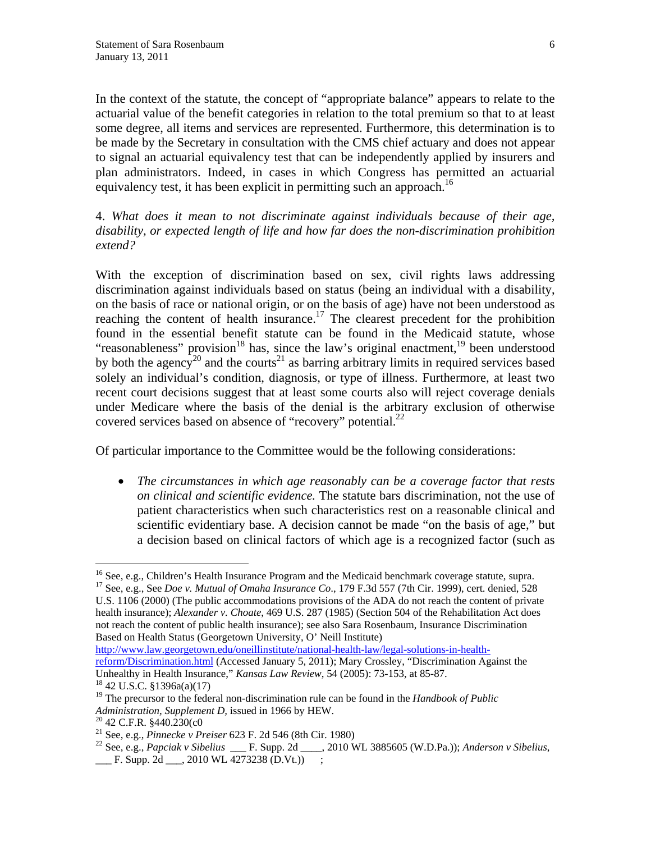In the context of the statute, the concept of "appropriate balance" appears to relate to the actuarial value of the benefit categories in relation to the total premium so that to at least some degree, all items and services are represented. Furthermore, this determination is to be made by the Secretary in consultation with the CMS chief actuary and does not appear to signal an actuarial equivalency test that can be independently applied by insurers and plan administrators. Indeed, in cases in which Congress has permitted an actuarial equivalency test, it has been explicit in permitting such an approach.<sup>16</sup>

4. *What does it mean to not discriminate against individuals because of their age, disability, or expected length of life and how far does the non-discrimination prohibition extend?* 

With the exception of discrimination based on sex, civil rights laws addressing discrimination against individuals based on status (being an individual with a disability, on the basis of race or national origin, or on the basis of age) have not been understood as reaching the content of health insurance.<sup>17</sup> The clearest precedent for the prohibition found in the essential benefit statute can be found in the Medicaid statute, whose "reasonableness" provision<sup>18</sup> has, since the law's original enactment,  $19$  been understood by both the agency<sup>20</sup> and the courts<sup>21</sup> as barring arbitrary limits in required services based solely an individual's condition, diagnosis, or type of illness. Furthermore, at least two recent court decisions suggest that at least some courts also will reject coverage denials under Medicare where the basis of the denial is the arbitrary exclusion of otherwise covered services based on absence of "recovery" potential. $^{22}$ 

Of particular importance to the Committee would be the following considerations:

 *The circumstances in which age reasonably can be a coverage factor that rests on clinical and scientific evidence.* The statute bars discrimination, not the use of patient characteristics when such characteristics rest on a reasonable clinical and scientific evidentiary base. A decision cannot be made "on the basis of age," but a decision based on clinical factors of which age is a recognized factor (such as

U.S. 1106 (2000) (The public accommodations provisions of the ADA do not reach the content of private health insurance); *Alexander v. Choate*, 469 U.S. 287 (1985) (Section 504 of the Rehabilitation Act does not reach the content of public health insurance); see also Sara Rosenbaum, Insurance Discrimination Based on Health Status (Georgetown University, O' Neill Institute)

http://www.law.georgetown.edu/oneillinstitute/national-health-law/legal-solutions-in-healthreform/Discrimination.html (Accessed January 5, 2011); Mary Crossley, "Discrimination Against the Unhealthy in Health Insurance," *Kansas Law Review*, 54 (2005): 73-153, at 85-87. 18 42 U.S.C. §1396a(a)(17)

1

<sup>&</sup>lt;sup>16</sup> See, e.g., Children's Health Insurance Program and the Medicaid benchmark coverage statute, supra.<br><sup>17</sup> See, e.g., See *Doe v. Mutual of Omaha Insurance Co.*, 179 F.3d 557 (7th Cir. 1999), cert. denied, 528

<sup>19</sup> The precursor to the federal non-discrimination rule can be found in the *Handbook of Public Administration, Supplement D, issued in 1966 by HEW.*<br><sup>20</sup> 42 C.F.R. §440.230(c0<br><sup>21</sup> See, e.g., *Pinnecke v Preiser 623 F. 2d 546 (8th Cir. 1980)* 

<sup>&</sup>lt;sup>22</sup> See, e.g., *Papciak v Sibelius* \_\_\_ F. Supp. 2d \_\_\_\_, 2010 WL 3885605 (W.D.Pa.)); *Anderson v Sibelius*,  $\frac{1}{2}$  F. Supp. 2d  $\frac{1}{2}$ , 2010 WL 4273238 (D.Vt.))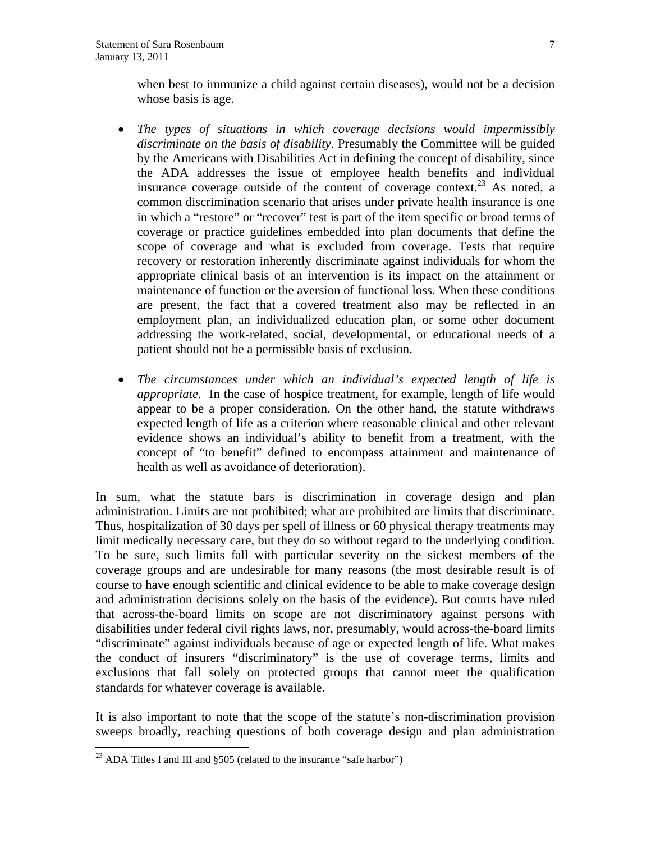when best to immunize a child against certain diseases), would not be a decision whose basis is age.

- *The types of situations in which coverage decisions would impermissibly discriminate on the basis of disability*. Presumably the Committee will be guided by the Americans with Disabilities Act in defining the concept of disability, since the ADA addresses the issue of employee health benefits and individual insurance coverage outside of the content of coverage context.<sup>23</sup> As noted, a common discrimination scenario that arises under private health insurance is one in which a "restore" or "recover" test is part of the item specific or broad terms of coverage or practice guidelines embedded into plan documents that define the scope of coverage and what is excluded from coverage. Tests that require recovery or restoration inherently discriminate against individuals for whom the appropriate clinical basis of an intervention is its impact on the attainment or maintenance of function or the aversion of functional loss. When these conditions are present, the fact that a covered treatment also may be reflected in an employment plan, an individualized education plan, or some other document addressing the work-related, social, developmental, or educational needs of a patient should not be a permissible basis of exclusion.
- *The circumstances under which an individual's expected length of life is appropriate.* In the case of hospice treatment, for example, length of life would appear to be a proper consideration. On the other hand, the statute withdraws expected length of life as a criterion where reasonable clinical and other relevant evidence shows an individual's ability to benefit from a treatment, with the concept of "to benefit" defined to encompass attainment and maintenance of health as well as avoidance of deterioration).

In sum, what the statute bars is discrimination in coverage design and plan administration. Limits are not prohibited; what are prohibited are limits that discriminate. Thus, hospitalization of 30 days per spell of illness or 60 physical therapy treatments may limit medically necessary care, but they do so without regard to the underlying condition. To be sure, such limits fall with particular severity on the sickest members of the coverage groups and are undesirable for many reasons (the most desirable result is of course to have enough scientific and clinical evidence to be able to make coverage design and administration decisions solely on the basis of the evidence). But courts have ruled that across-the-board limits on scope are not discriminatory against persons with disabilities under federal civil rights laws, nor, presumably, would across-the-board limits "discriminate" against individuals because of age or expected length of life. What makes the conduct of insurers "discriminatory" is the use of coverage terms, limits and exclusions that fall solely on protected groups that cannot meet the qualification standards for whatever coverage is available.

It is also important to note that the scope of the statute's non-discrimination provision sweeps broadly, reaching questions of both coverage design and plan administration

 $\overline{a}$ 

<sup>&</sup>lt;sup>23</sup> ADA Titles I and III and  $\S505$  (related to the insurance "safe harbor")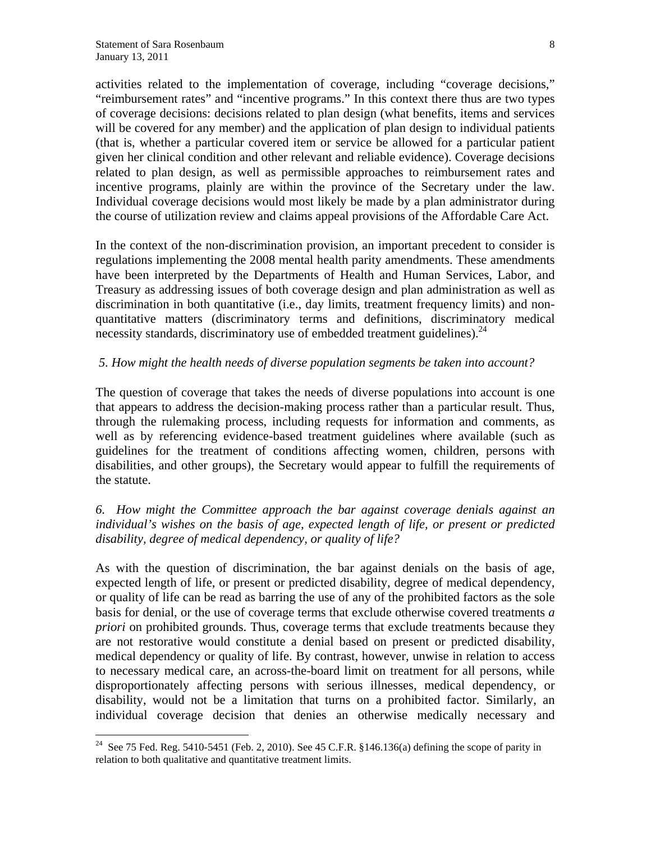$\overline{a}$ 

activities related to the implementation of coverage, including "coverage decisions," "reimbursement rates" and "incentive programs." In this context there thus are two types of coverage decisions: decisions related to plan design (what benefits, items and services will be covered for any member) and the application of plan design to individual patients (that is, whether a particular covered item or service be allowed for a particular patient given her clinical condition and other relevant and reliable evidence). Coverage decisions related to plan design, as well as permissible approaches to reimbursement rates and incentive programs, plainly are within the province of the Secretary under the law. Individual coverage decisions would most likely be made by a plan administrator during the course of utilization review and claims appeal provisions of the Affordable Care Act.

In the context of the non-discrimination provision, an important precedent to consider is regulations implementing the 2008 mental health parity amendments. These amendments have been interpreted by the Departments of Health and Human Services, Labor, and Treasury as addressing issues of both coverage design and plan administration as well as discrimination in both quantitative (i.e., day limits, treatment frequency limits) and nonquantitative matters (discriminatory terms and definitions, discriminatory medical necessity standards, discriminatory use of embedded treatment guidelines).<sup>24</sup>

## *5. How might the health needs of diverse population segments be taken into account?*

The question of coverage that takes the needs of diverse populations into account is one that appears to address the decision-making process rather than a particular result. Thus, through the rulemaking process, including requests for information and comments, as well as by referencing evidence-based treatment guidelines where available (such as guidelines for the treatment of conditions affecting women, children, persons with disabilities, and other groups), the Secretary would appear to fulfill the requirements of the statute.

# *6. How might the Committee approach the bar against coverage denials against an individual's wishes on the basis of age, expected length of life, or present or predicted disability, degree of medical dependency, or quality of life?*

As with the question of discrimination, the bar against denials on the basis of age, expected length of life, or present or predicted disability, degree of medical dependency, or quality of life can be read as barring the use of any of the prohibited factors as the sole basis for denial, or the use of coverage terms that exclude otherwise covered treatments *a priori* on prohibited grounds. Thus, coverage terms that exclude treatments because they are not restorative would constitute a denial based on present or predicted disability, medical dependency or quality of life. By contrast, however, unwise in relation to access to necessary medical care, an across-the-board limit on treatment for all persons, while disproportionately affecting persons with serious illnesses, medical dependency, or disability, would not be a limitation that turns on a prohibited factor. Similarly, an individual coverage decision that denies an otherwise medically necessary and

<sup>&</sup>lt;sup>24</sup> See 75 Fed. Reg. 5410-5451 (Feb. 2, 2010). See 45 C.F.R. §146.136(a) defining the scope of parity in relation to both qualitative and quantitative treatment limits.